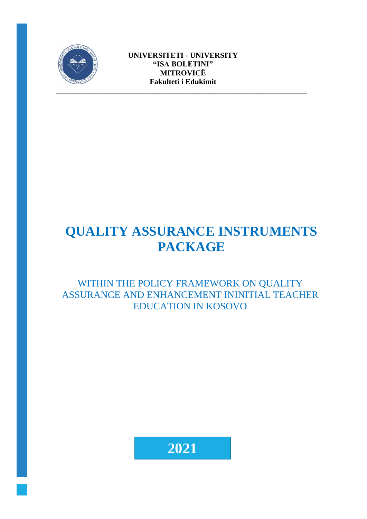

# **QUALITY ASSURANCE INSTRUMENTS PACKAGE**

WITHIN THE POLICY FRAMEWORK ON QUALITY ASSURANCE AND ENHANCEMENT ININITIAL TEACHER EDUCATION IN KOSOVO

**2021**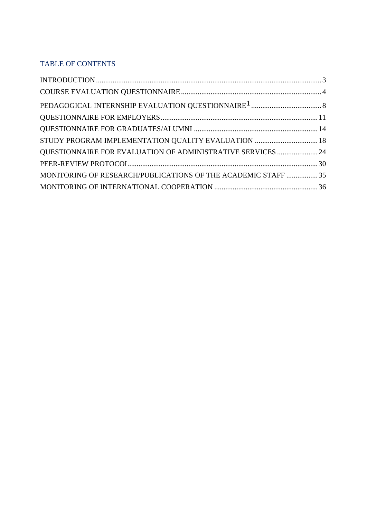## TABLE OF CONTENTS

| STUDY PROGRAM IMPLEMENTATION QUALITY EVALUATION  18           |
|---------------------------------------------------------------|
| QUESTIONNAIRE FOR EVALUATION OF ADMINISTRATIVE SERVICES  24   |
|                                                               |
| MONITORING OF RESEARCH/PUBLICATIONS OF THE ACADEMIC STAFF  35 |
|                                                               |
|                                                               |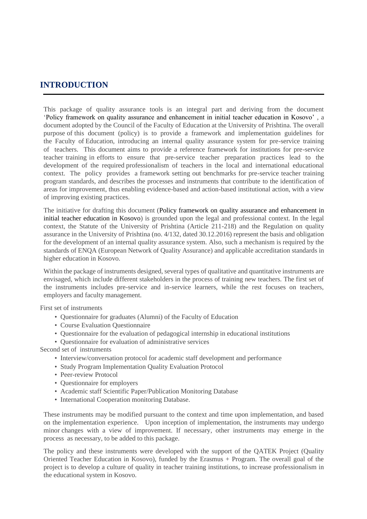## <span id="page-2-0"></span>**INTRODUCTION**

This package of quality assurance tools is an integral part and deriving from the document 'Policy framework on quality assurance and enhancement in initial teacher education in Kosovo' , a document adopted by the Council of the Faculty of Education at the University of Prishtina. The overall purpose of this document (policy) is to provide a framework and implementation guidelines for the Faculty of Education, introducing an internal quality assurance system for pre-service training of teachers. This document aims to provide a reference framework for institutions for pre-service teacher training in efforts to ensure that pre-service teacher preparation practices lead to the development of the required professionalism of teachers in the local and international educational context. The policy provides a framework setting out benchmarks for pre-service teacher training program standards, and describes the processes and instruments that contribute to the identification of areas for improvement, thus enabling evidence-based and action-based institutional action, with a view of improving existing practices.

The initiative for drafting this document (Policy framework on quality assurance and enhancement in initial teacher education in Kosovo) is grounded upon the legal and professional context. In the legal context, the Statute of the University of Prishtina (Article 211-218) and the Regulation on quality assurance in the University of Prishtina (no. 4/132, dated 30.12.2016) represent the basis and obligation for the development of an internal quality assurance system. Also, such a mechanism is required by the standards of ENQA (European Network of Quality Assurance) and applicable accreditation standards in higher education in Kosovo.

Within the package of instruments designed, several types of qualitative and quantitative instruments are envisaged, which include different stakeholders in the process of training new teachers. The first set of the instruments includes pre-service and in-service learners, while the rest focuses on teachers, employers and faculty management.

First set of instruments

- Questionnaire for graduates (Alumni) of the Faculty of Education
- Course Evaluation Questionnaire
- Questionnaire for the evaluation of pedagogical internship in educational institutions
- Questionnaire for evaluation of administrative services

Second set of instruments

- Interview/conversation protocol for academic staff development and performance
- Study Program Implementation Quality Evaluation Protocol
- Peer-review Protocol
- Questionnaire for employers
- Academic staff Scientific Paper/Publication Monitoring Database
- International Cooperation monitoring Database.

These instruments may be modified pursuant to the context and time upon implementation, and based on the implementation experience. Upon inception of implementation, the instruments may undergo minor changes with a view of improvement. If necessary, other instruments may emerge in the process as necessary, to be added to this package.

The policy and these instruments were developed with the support of the QATEK Project (Quality Oriented Teacher Education in Kosovo), funded by the Erasmus + Program. The overall goal of the project is to develop a culture of quality in teacher training institutions, to increase professionalism in the educational system in Kosovo.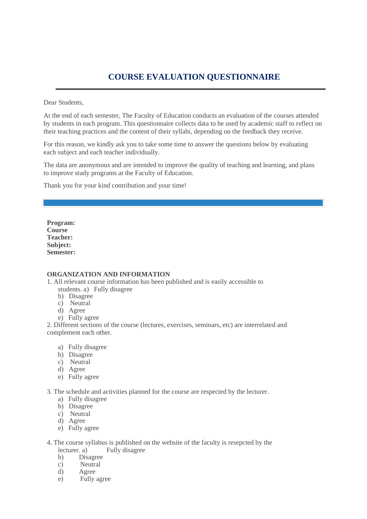# **COURSE EVALUATION QUESTIONNAIRE**

<span id="page-3-0"></span>Dear Students,

At the end of each semester, The Faculty of Education conducts an evaluation of the courses attended by students in each program. This questionnaire collects data to be used by academic staff to reflect on their teaching practices and the content of their syllabi, depending on the feedback they receive.

For this reason, we kindly ask you to take some time to answer the questions below by evaluating each subject and each teacher individually.

The data are anonymous and are intended to improve the quality of teaching and learning, and plans to improve study programs at the Faculty of Education.

Thank you for your kind contribution and your time!

**Program: Course Teacher: Subject: Semester:**

#### **ORGANIZATION AND INFORMATION**

1. All relevant course information has been published and is easily accessible to

- students. a) Fully disagree
- b) Disagree
- c) Neutral
- d) Agree
- e) Fully agree

2. Different sections of the course (lectures, exercises, seminars, etc) are interrelated and complement each other.

- a) Fully disagree
- b) Disagree
- c) Neutral
- d) Agree
- e) Fully agree

3. The schedule and activities planned for the course are respected by the lecturer.

- a) Fully disagree
- b) Disagree
- c) Neutral
- d) Agree
- e) Fully agree
- 4. The course syllabus is published on the website of the faculty is resepcted by the lecturer. a) Fully disagree
	- b) Disagree
	- c) Neutral
	- d) Agree
	- e) Fully agree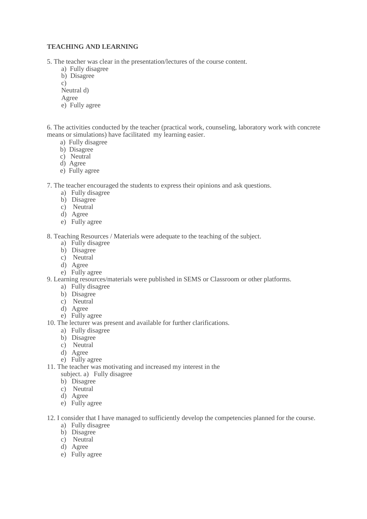#### **TEACHING AND LEARNING**

5. The teacher was clear in the presentation/lectures of the course content.

- a) Fully disagree
- b) Disagree
- c)
- Neutral d)
- Agree
- e) Fully agree

6. The activities conducted by the teacher (practical work, counseling, laboratory work with concrete means or simulations) have facilitated my learning easier.

- a) Fully disagree
- b) Disagree
- c) Neutral
- d) Agree
- e) Fully agree

7. The teacher encouraged the students to express their opinions and ask questions.

- a) Fully disagree
- b) Disagree
- c) Neutral
- d) Agree
- e) Fully agree

8. Teaching Resources / Materials were adequate to the teaching of the subject.

- a) Fully disagree
- b) Disagree
- c) Neutral
- d) Agree
- e) Fully agree

9. Learning resources/materials were published in SEMS or Classroom or other platforms.

- a) Fully disagree
- b) Disagree
- c) Neutral
- d) Agree
- e) Fully agree
- 10. The lecturer was present and available for further clarifications.
	- a) Fully disagree
	- b) Disagree
	- c) Neutral
	- d) Agree
	- e) Fully agree
- 11. The teacher was motivating and increased my interest in the
	- subject. a) Fully disagree
	- b) Disagree
	- c) Neutral
	- d) Agree
	- e) Fully agree
- 12. I consider that I have managed to sufficiently develop the competencies planned for the course.
	- a) Fully disagree
	- b) Disagree
	- c) Neutral
	- d) Agree
	- e) Fully agree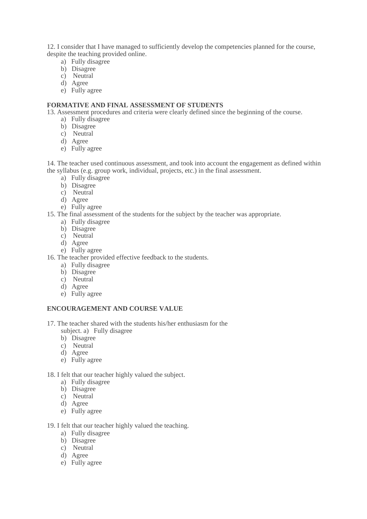12. I consider that I have managed to sufficiently develop the competencies planned for the course, despite the teaching provided online.

- a) Fully disagree
- b) Disagree
- c) Neutral
- d) Agree
- e) Fully agree

#### **FORMATIVE AND FINAL ASSESSMENT OF STUDENTS**

13. Assessment procedures and criteria were clearly defined since the beginning of the course.

- a) Fully disagree
- b) Disagree
- c) Neutral
- d) Agree
- e) Fully agree

14. The teacher used continuous assessment, and took into account the engagement as defined within the syllabus (e.g. group work, individual, projects, etc.) in the final assessment.

- a) Fully disagree
- b) Disagree
- c) Neutral
- d) Agree
- e) Fully agree
- 15. The final assessment of the students for the subject by the teacher was appropriate.
	- a) Fully disagree
	- b) Disagree
	- c) Neutral
	- d) Agree
	- e) Fully agree
- 16. The teacher provided effective feedback to the students.
	- a) Fully disagree
	- b) Disagree
	- c) Neutral
	- d) Agree
	- e) Fully agree

## **ENCOURAGEMENT AND COURSE VALUE**

- 17. The teacher shared with the students his/her enthusiasm for the
	- subject. a) Fully disagree
	- b) Disagree
	- c) Neutral
	- d) Agree
	- e) Fully agree
- 18. I felt that our teacher highly valued the subject.
	- a) Fully disagree
	- b) Disagree
	- c) Neutral
	- d) Agree
	- e) Fully agree

#### 19. I felt that our teacher highly valued the teaching.

- a) Fully disagree
- b) Disagree
- c) Neutral
- d) Agree
- e) Fully agree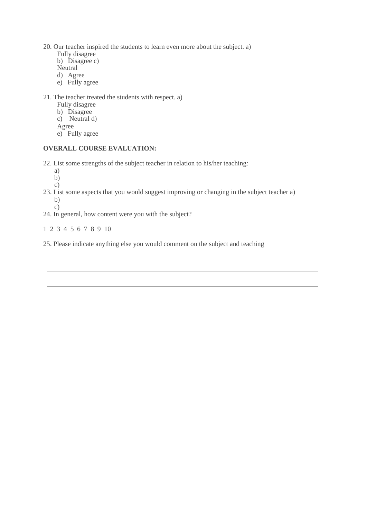20. Our teacher inspired the students to learn even more about the subject. a)

- Fully disagree b) Disagree c) **Neutral**
- d) Agree
- e) Fully agree

#### 21. The teacher treated the students with respect. a)

- Fully disagree
- b) Disagree
- c) Neutral d)
- Agree
- e) Fully agree

#### **OVERALL COURSE EVALUATION:**

22. List some strengths of the subject teacher in relation to his/her teaching:

a) b)

c)

- 23. List some aspects that you would suggest improving or changing in the subject teacher a) b) c)
- 24. In general, how content were you with the subject?

1 2 3 4 5 6 7 8 9 10

25. Please indicate anything else you would comment on the subject and teaching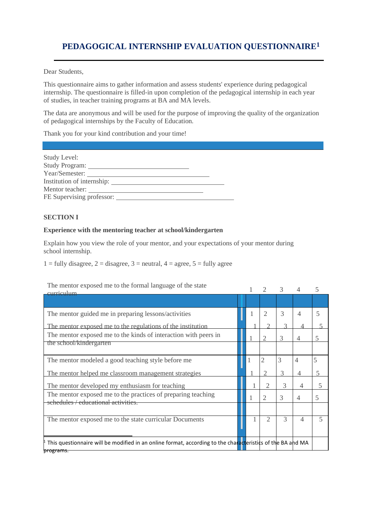<span id="page-7-0"></span>Dear Students,

This questionnaire aims to gather information and assess students' experience during pedagogical internship. The questionnaire is filled-in upon completion of the pedagogical internship in each year of studies, in teacher training programs at BA and MA levels.

The data are anonymous and will be used for the purpose of improving the quality of the organization of pedagogical internships by the Faculty of Education.

Thank you for your kind contribution and your time!

| Study Level:              |  |
|---------------------------|--|
|                           |  |
| Year/Semester:            |  |
|                           |  |
| Mentor teacher:           |  |
| FE Supervising professor: |  |
|                           |  |

#### **SECTION I**

#### **Experience with the mentoring teacher at school/kindergarten**

Explain how you view the role of your mentor, and your expectations of your mentor during school internship.

 $1 =$  fully disagree,  $2 =$  disagree,  $3 =$  neutral,  $4 =$  agree,  $5 =$  fully agree

#### The mentor exposed me to the formal language of the state

| The mentor exposed me to the formal language of the state<br><u>avrriaulum</u>                                          |  |                | $\mathcal{R}$ |                | 5                        |
|-------------------------------------------------------------------------------------------------------------------------|--|----------------|---------------|----------------|--------------------------|
|                                                                                                                         |  |                |               |                |                          |
| The mentor guided me in preparing lessons/activities                                                                    |  | 2              | 3             | 4              | 5                        |
| The mentor exposed me to the regulations of the institution                                                             |  |                |               |                |                          |
| The mentor exposed me to the kinds of interaction with peers in                                                         |  | 2              | 3             | 4              | 5                        |
| the school/kindergarten                                                                                                 |  |                |               |                |                          |
| The mentor modeled a good teaching style before me                                                                      |  | 2              | 3             | 4              | 5                        |
| The mentor helped me classroom management strategies                                                                    |  | 2              | 3             | 4              | 5                        |
| The mentor developed my enthusiasm for teaching                                                                         |  |                | 3             | $\overline{4}$ | 5                        |
| The mentor exposed me to the practices of preparing teaching<br>schedules / educational activities.                     |  | $\overline{2}$ | 3             | 4              | 5                        |
|                                                                                                                         |  |                |               |                |                          |
| The mentor exposed me to the state curricular Documents                                                                 |  |                | 3             | $\overline{4}$ | $\overline{\phantom{0}}$ |
| This questionnaire will be modified in an online format, according to the characteristics of the BA and MA<br>programs. |  |                |               |                |                          |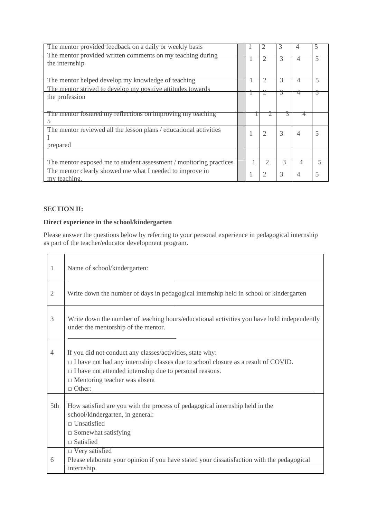| The mentor provided feedback on a daily or weekly basis                       |  |                | 3 | 4 |  |
|-------------------------------------------------------------------------------|--|----------------|---|---|--|
| The mentor provided written comments on my teaching during                    |  |                |   |   |  |
| the internship                                                                |  |                |   | 4 |  |
| The mentor helped develop my knowledge of teaching                            |  |                | 3 | 4 |  |
| The mentor strived to develop my positive attitudes towards                   |  |                |   |   |  |
| the profession                                                                |  |                | ক | 4 |  |
| The mentor fostered my reflections on improving my teaching                   |  |                | ∍ | 4 |  |
| The mentor reviewed all the lesson plans / educational activities<br>prepared |  | $\overline{2}$ | 3 | 4 |  |
|                                                                               |  |                |   |   |  |
| The mentor exposed me to student assessment / monitoring practices            |  |                |   | 4 |  |
| The mentor clearly showed me what I needed to improve in<br>my teaching.      |  | っ              | 3 |   |  |

## **SECTION II:**

 $\overline{\phantom{a}}$ 

 $\overline{a}$ 

# **Direct experience in the school/kindergarten**

Please answer the questions below by referring to your personal experience in pedagogical internship as part of the teacher/educator development program.

| 1              | Name of school/kindergarten:                                                                                                                                                                                                                                   |
|----------------|----------------------------------------------------------------------------------------------------------------------------------------------------------------------------------------------------------------------------------------------------------------|
| $\overline{2}$ | Write down the number of days in pedagogical internship held in school or kindergarten                                                                                                                                                                         |
| 3              | Write down the number of teaching hours/educational activities you have held independently<br>under the mentorship of the mentor.                                                                                                                              |
| 4              | If you did not conduct any classes/activities, state why:<br>$\Box$ I have not had any internship classes due to school closure as a result of COVID.<br>$\Box$ I have not attended internship due to personal reasons.<br>$\Box$ Mentoring teacher was absent |
| 5th            | How satisfied are you with the process of pedagogical internship held in the<br>school/kindergarten, in general:<br>$\Box$ Unsatisfied<br>$\Box$ Somewhat satisfying<br>$\Box$ Satisfied                                                                       |
| 6              | $\Box$ Very satisfied<br>Please elaborate your opinion if you have stated your dissatisfaction with the pedagogical<br>internship.                                                                                                                             |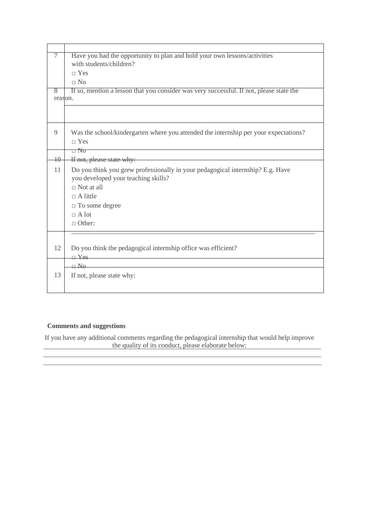| 7               | Have you had the opportunity to plan and hold your own lessons/activities<br>with students/children?                  |
|-----------------|-----------------------------------------------------------------------------------------------------------------------|
|                 | $\neg$ Yes                                                                                                            |
|                 | $\Box$ No                                                                                                             |
| 8<br>reason.    | If so, mention a lesson that you consider was very successful. If not, please state the                               |
|                 |                                                                                                                       |
| 9               | Was the school/kindergarten where you attended the internship per your expectations?<br>$\neg$ Yes                    |
|                 | □ No                                                                                                                  |
| $\overline{10}$ | <u> 1980 - Johann Barbara, martin amerikan basar da</u><br>If not, please state why:                                  |
| 11              | Do you think you grew professionally in your pedagogical internship? E.g. Have<br>you developed your teaching skills? |
|                 | $\Box$ Not at all                                                                                                     |
|                 | $\Box$ A little                                                                                                       |
|                 | $\Box$ To some degree                                                                                                 |
|                 | $\sqcap$ A lot                                                                                                        |
|                 | $\Box$ Other:                                                                                                         |
|                 |                                                                                                                       |
| 12              | Do you think the pedagogical internship office was efficient?                                                         |
|                 | $\Box$ Yes                                                                                                            |
|                 | $\Box$ No                                                                                                             |
| 13              | If not, please state why:                                                                                             |
|                 |                                                                                                                       |
|                 |                                                                                                                       |

## **Comments and suggestions**

If you have any additional comments regarding the pedagogical internship that would help improve the quality of its conduct, please elaborate below:

and the control of the control of the control of the control of the control of the control of the control of the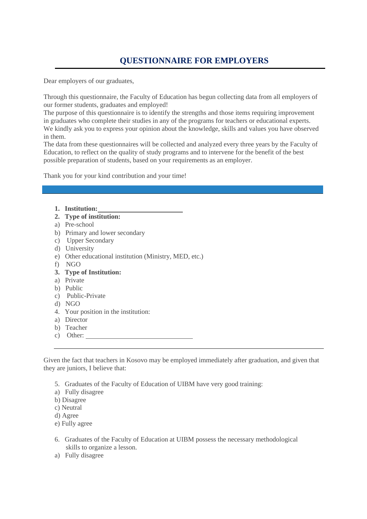# **QUESTIONNAIRE FOR EMPLOYERS**

<span id="page-10-0"></span>Dear employers of our graduates,

Through this questionnaire, the Faculty of Education has begun collecting data from all employers of our former students, graduates and employed!

The purpose of this questionnaire is to identify the strengths and those items requiring improvement in graduates who complete their studies in any of the programs for teachers or educational experts. We kindly ask you to express your opinion about the knowledge, skills and values you have observed in them.

The data from these questionnaires will be collected and analyzed every three years by the Faculty of Education, to reflect on the quality of study programs and to intervene for the benefit of the best possible preparation of students, based on your requirements as an employer.

Thank you for your kind contribution and your time!

- **1. Institution:**
- **2. Type of institution:**
- a) Pre-school
- b) Primary and lower secondary
- c) Upper Secondary
- d) University
- e) Other educational institution (Ministry, MED, etc.)
- f) NGO
- **3. Type of Institution:**
- a) Private
- b) Public
- c) Public-Private
- d) NGO
- 4. Your position in the institution:
- a) Director
- b) Teacher
- c) Other:

Given the fact that teachers in Kosovo may be employed immediately after graduation, and given that they are juniors, I believe that:

- 5. Graduates of the Faculty of Education of UIBM have very good training:
- a) Fully disagree
- b) Disagree
- c) Neutral
- d) Agree
- e) Fully agree
- 6. Graduates of the Faculty of Education at UIBM possess the necessary methodological skills to organize a lesson.
- a) Fully disagree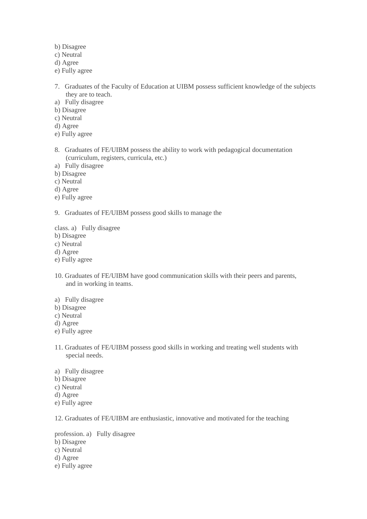- b) Disagree
- c) Neutral
- d) Agree
- e) Fully agree
- 7. Graduates of the Faculty of Education at UIBM possess sufficient knowledge of the subjects they are to teach.
- a) Fully disagree
- b) Disagree
- c) Neutral
- d) Agree
- e) Fully agree
- 8. Graduates of FE/UIBM possess the ability to work with pedagogical documentation (curriculum, registers, curricula, etc.)
- a) Fully disagree
- b) Disagree
- c) Neutral
- d) Agree
- e) Fully agree
- 9. Graduates of FE/UIBM possess good skills to manage the
- class. a) Fully disagree
- b) Disagree
- c) Neutral
- d) Agree
- e) Fully agree
- 10. Graduates of FE/UIBM have good communication skills with their peers and parents, and in working in teams.
- a) Fully disagree
- b) Disagree
- c) Neutral
- d) Agree
- e) Fully agree
- 11. Graduates of FE/UIBM possess good skills in working and treating well students with special needs.
- a) Fully disagree
- b) Disagree
- c) Neutral
- d) Agree
- e) Fully agree

12. Graduates of FE/UIBM are enthusiastic, innovative and motivated for the teaching

profession. a) Fully disagree

- b) Disagree
- c) Neutral
- d) Agree
- e) Fully agree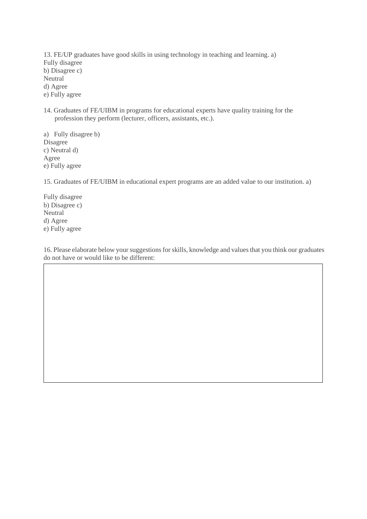13. FE/UP graduates have good skills in using technology in teaching and learning. a) Fully disagree b) Disagree c) Neutral d) Agree e) Fully agree

14. Graduates of FE/UIBM in programs for educational experts have quality training for the profession they perform (lecturer, officers, assistants, etc.).

a) Fully disagree b) Disagree c) Neutral d) Agree e) Fully agree

15. Graduates of FE/UIBM in educational expert programs are an added value to our institution. a)

Fully disagree b) Disagree c) Neutral d) Agree e) Fully agree

16. Please elaborate below your suggestions for skills, knowledge and values that you think our graduates do not have or would like to be different: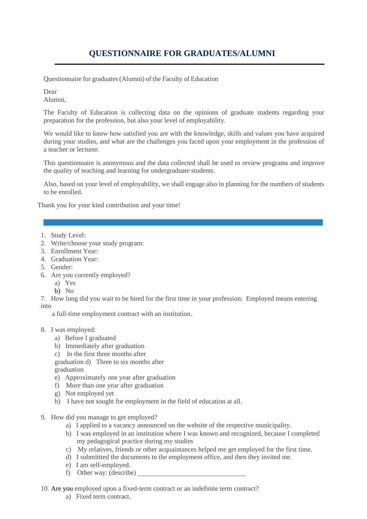# **QUESTIONNAIRE FOR GRADUATES/ALUMNI**

<span id="page-13-0"></span>Questionnaire for graduates (Alumni) of the Faculty of Education

Dear

Alumni,

The Faculty of Education is collecting data on the opinions of graduate students regarding your preparation for the profession, but also your level of employability.

We would like to know how satisfied you are with the knowledge, skills and values you have acquired during your studies, and what are the challenges you faced upon your employment in the profession of a teacher or lecturer.

This questionnaire is anonymous and the data collected shall be used to review programs and improve the quality of teaching and learning for undergraduate students.

Also, based on your level of employability, we shall engage also in planning for the numbers of students to be enrolled.

Thank you for your kind contribution and your time!

- 1. Study Level:
- 2. Write/choose your study program:
- 3. Enrollment Year:
- 4. Graduation Year:
- 5. Gender:
- 6. Are you currently employed?
	- a) Yes
	- b) No

7. How long did you wait to be hired for the first time in your profession: Employed means entering into

a full-time employment contract with an institution.

- 8. I was employed:
	- a) Before I graduated
	- b) Immediately after graduation
	- c) In the first three months after

graduation d) Three to six months after

graduation

- e) Approximately one year after graduation
- f) More than one year after graduation
- g) Not employed yet
- h) I have not sought for employment in the field of education at all.
- 9. How did you manage to get employed?
	- a) I applied to a vacancy announced on the website of the respective municipality.
	- b) I was employed in an institution where I was known and recognized, because I completed my pedagogical practice during my studies
	- c) My relatives, friends or other acquaintances helped me get employed for the first time.
	- d) I submittted the documents to the employment office, and then they invited me.
	- e) I am self-employed.
	- f) Other way: (describe)
- 10. Are you employed upon a fixed-term contract or an indefinite term contract?
	- a) Fixed term contract.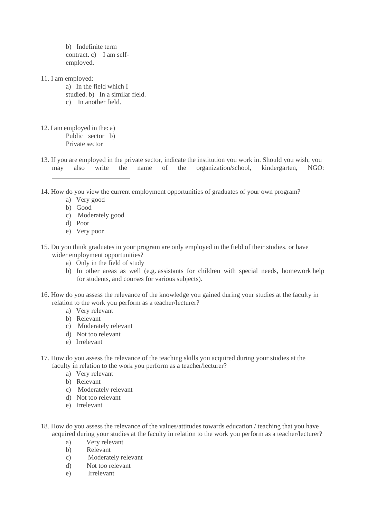b) Indefinite term contract. c) I am selfemployed.

- 11. I am employed:
	- a) In the field which I
	- studied. b) In a similar field.
	- c) In another field.
- 12. I am employed in the: a) Public sector b) Private sector
- 13. If you are employed in the private sector, indicate the institution you work in. Should you wish, you may also write the name of the organization/school, kindergarten, NGO:
- 14. How do you view the current employment opportunities of graduates of your own program?
	- a) Very good
	- b) Good
	- c) Moderately good
	- d) Poor
	- e) Very poor
- 15. Do you think graduates in your program are only employed in the field of their studies, or have wider employment opportunities?
	- a) Only in the field of study
	- b) In other areas as well (e.g. assistants for children with special needs, homework help for students, and courses for various subjects).
- 16. How do you assess the relevance of the knowledge you gained during your studies at the faculty in relation to the work you perform as a teacher/lecturer?
	- a) Very relevant
	- b) Relevant
	- c) Moderately relevant
	- d) Not too relevant
	- e) Irrelevant
- 17. How do you assess the relevance of the teaching skills you acquired during your studies at the faculty in relation to the work you perform as a teacher/lecturer?
	- a) Very relevant
	- b) Relevant
	- c) Moderately relevant
	- d) Not too relevant
	- e) Irrelevant
- 18. How do you assess the relevance of the values/attitudes towards education / teaching that you have acquired during your studies at the faculty in relation to the work you perform as a teacher/lecturer?
	- a) Very relevant
	- b) Relevant
	- c) Moderately relevant
	- d) Not too relevant
	- e) Irrelevant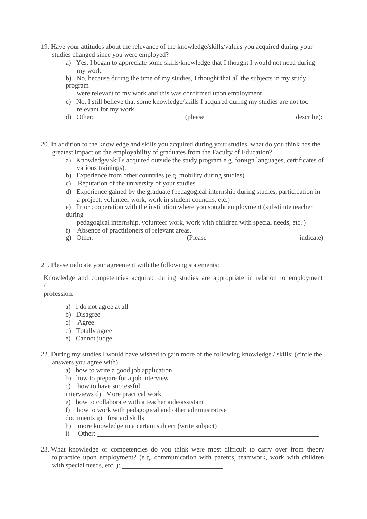- 19. Have your attitudes about the relevance of the knowledge/skills/values you acquired during your studies changed since you were employed?
	- a) Yes, I began to appreciate some skills/knowledge that I thought I would not need during my work.
	- b) No, because during the time of my studies, I thought that all the subjects in my study program
		- were relevant to my work and this was confirmed upon employment
	- c) No, I still believe that some knowledge/skills I acquired during my studies are not too relevant for my work.
	- d) Other; (please describe):
- 20. In addition to the knowledge and skills you acquired during your studies, what do you think has the greatest impact on the employability of graduates from the Faculty of Education?
	- a) Knowledge/Skills acquired outside the study program e.g. foreign languages, certificates of various trainings).
	- b) Experience from other countries (e.g. mobility during studies)
	- c) Reputation of the university of your studies
	- d) Experience gained by the graduate (pedagogical internship during studies, participation in a project, volunteer work, work in student councils, etc.)
	- e) Prior cooperation with the institution where you sought employment (substitute teacher during

pedagogical internship, volunteer work, work with children with special needs, etc. )

- f) Absence of practitioners of relevant areas.
- g) Other: (Please indicate)
- 21. Please indicate your agreement with the following statements:

Knowledge and competencies acquired during studies are appropriate in relation to employment /

profession.

- a) I do not agree at all
- b) Disagree
- c) Agree
- d) Totally agree
- e) Cannot judge.
- 22. During my studies I would have wished to gain more of the following knowledge / skills: (circle the answers you agree with):
	- a) how to write a good job application
	- b) how to prepare for a job interview
	- c) how to have successful

interviews d) More practical work

- e) how to collaborate with a teacher aide/assistant
- f) how to work with pedagogical and other administrative
- documents g) first aid skills
- h) more knowledge in a certain subject (write subject)
- i) Other:
- 23. What knowledge or competencies do you think were most difficult to carry over from theory to practice upon employment? (e.g. communication with parents, teamwork, work with children with special needs, etc. ):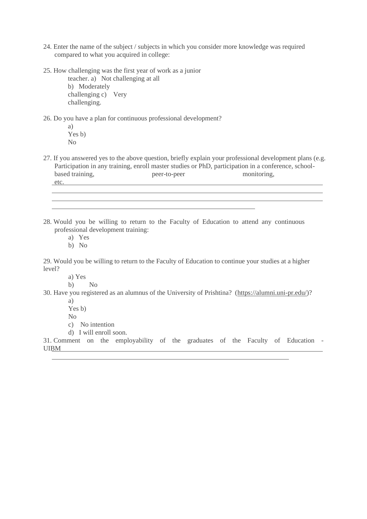- 24. Enter the name of the subject / subjects in which you consider more knowledge was required compared to what you acquired in college:
- 25. How challenging was the first year of work as a junior

teacher. a) Not challenging at all b) Moderately challenging c) Very challenging.

26. Do you have a plan for continuous professional development?

a) Yes b) No

27. If you answered yes to the above question, briefly explain your professional development plans (e.g. Participation in any training, enroll master studies or PhD, participation in a conference, school-<br>based training, peer-to-peer monitoring, peer-to-peer etc.

28. Would you be willing to return to the Faculty of Education to attend any continuous professional development training:

a) Yes

b) No

29. Would you be willing to return to the Faculty of Education to continue your studies at a higher level?

a) Yes

b) No

30. Have you registered as an alumnus of the University of Prishtina? [\(https://alumni.uni-pr.edu/\)?](https://alumni.uni-pr.edu/)

a)

Yes b)

No

c) No intention

d) I will enroll soon.

31. Comment on the employability of the graduates of the Faculty of Education - UIBM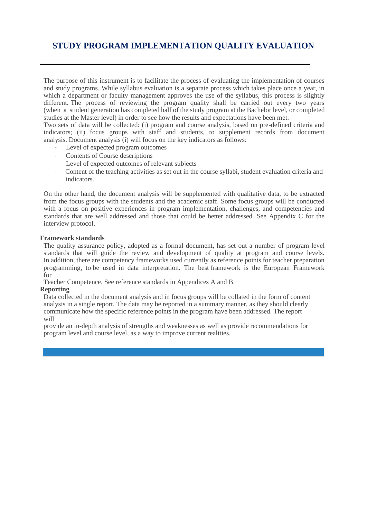# <span id="page-17-0"></span>**STUDY PROGRAM IMPLEMENTATION QUALITY EVALUATION**

The purpose of this instrument is to facilitate the process of evaluating the implementation of courses and study programs. While syllabus evaluation is a separate process which takes place once a year, in which a department or faculty management approves the use of the syllabus, this process is slightly different. The process of reviewing the program quality shall be carried out every two years (when a student generation has completed half of the study program at the Bachelor level, or completed studies at the Master level) in order to see how the results and expectations have been met.

Two sets of data will be collected: (i) program and course analysis, based on pre-defined criteria and indicators; (ii) focus groups with staff and students, to supplement records from document analysis. Document analysis (i) will focus on the key indicators as follows:

- Level of expected program outcomes
- Contents of Course descriptions
- Level of expected outcomes of relevant subjects
- Content of the teaching activities as set out in the course syllabi, student evaluation criteria and indicators.

On the other hand, the document analysis will be supplemented with qualitative data, to be extracted from the focus groups with the students and the academic staff. Some focus groups will be conducted with a focus on positive experiences in program implementation, challenges, and competencies and standards that are well addressed and those that could be better addressed. See Appendix C for the interview protocol.

#### **Framework standards**

The quality assurance policy, adopted as a formal document, has set out a number of program-level standards that will guide the review and development of quality at program and course levels. In addition, there are competency frameworks used currently as reference points for teacher preparation programming, to be used in data interpretation. The best framework is the European Framework for

Teacher Competence. See reference standards in Appendices A and B.

#### **Reporting**

Data collected in the document analysis and in focus groups will be collated in the form of content analysis in a single report. The data may be reported in a summary manner, as they should clearly communicate how the specific reference points in the program have been addressed. The report will

provide an in-depth analysis of strengths and weaknesses as well as provide recommendations for program level and course level, as a way to improve current realities.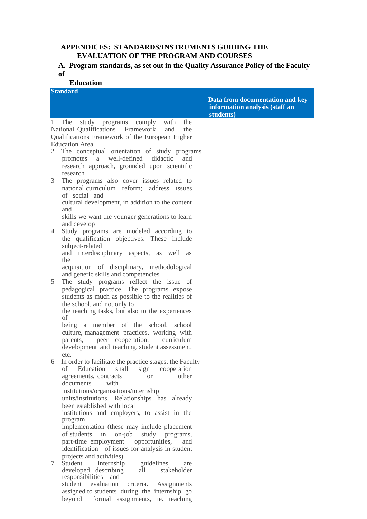## **APPENDICES: STANDARDS/INSTRUMENTS GUIDING THE EVALUATION OF THE PROGRAM AND COURSES**

## **A. Program standards, as set out in the Quality Assurance Policy of the Faculty of**

## **Education**

|                | <b>Standard</b>                                                                                                                                                                                       |                                                                                |
|----------------|-------------------------------------------------------------------------------------------------------------------------------------------------------------------------------------------------------|--------------------------------------------------------------------------------|
|                |                                                                                                                                                                                                       | Data from documentation and key<br>information analysis (staff an<br>students) |
| 1              | The study programs comply<br>with<br>the<br>National Qualifications Framework<br>and<br>the<br>Qualifications Framework of the European Higher<br>Education Area.                                     |                                                                                |
| 2              | The conceptual orientation of study programs<br>promotes a well-defined didactic<br>and<br>research approach, grounded upon scientific<br>research                                                    |                                                                                |
| 3              | The programs also cover issues related to<br>national curriculum reform; address issues<br>of social and<br>cultural development, in addition to the content                                          |                                                                                |
| $\overline{4}$ | and<br>skills we want the younger generations to learn<br>and develop                                                                                                                                 |                                                                                |
|                | Study programs are modeled according to<br>the qualification objectives. These include<br>subject-related<br>and interdisciplinary aspects, as well as<br>the                                         |                                                                                |
| 5              | acquisition of disciplinary, methodological<br>and generic skills and competencies<br>The study programs reflect the issue of<br>pedagogical practice. The programs expose                            |                                                                                |
|                | students as much as possible to the realities of<br>the school, and not only to<br>the teaching tasks, but also to the experiences<br>of                                                              |                                                                                |
|                | being a member of the school, school<br>culture, management practices, working with<br>peer cooperation,<br>parents,<br>curriculum<br>development and teaching, student assessment,                   |                                                                                |
| 6              | etc.<br>In order to facilitate the practice stages, the Faculty<br>Education<br>shall<br>οf<br>cooperation<br>sign<br>other<br>agreements, contracts<br><b>or</b><br>documents<br>with                |                                                                                |
|                | institutions/organisations/internship<br>units/institutions. Relationships has already<br>been established with local<br>institutions and employers, to assist in the<br>program                      |                                                                                |
|                | implementation (these may include placement<br>of students<br>in<br>$on$ -job<br>study programs,<br>part-time employment<br>opportunities,<br>and<br>identification of issues for analysis in student |                                                                                |
| 7              | projects and activities).<br>Student<br>internship<br>guidelines<br>are<br>developed, describing<br>all<br>stakeholder<br>responsibilities and<br>student<br>evaluation<br>criteria.<br>Assignments   |                                                                                |

assigned to students during the internship go beyond formal assignments, ie. teaching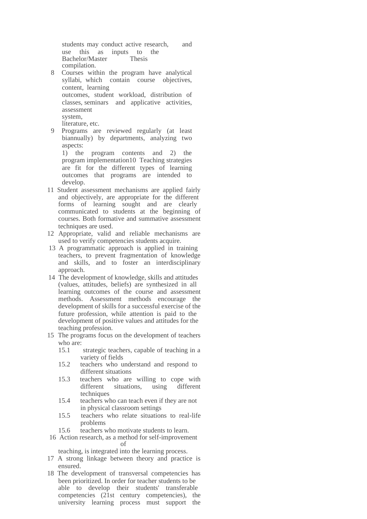students may conduct active research, and use this as inputs to the<br>Bachelor/Master Thesis Bachelor/Master compilation.

- Courses within the program have analytical syllabi, which contain course objectives, content, learning outcomes, student workload, distribution of classes, seminars and applicative activities,
	- assessment

system,

literature, etc.

9 Programs are reviewed regularly (at least biannually) by departments, analyzing two aspects:

1) the program contents and 2) the program implementation10 Teaching strategies are fit for the different types of learning outcomes that programs are intended to develop.

- 11 Student assessment mechanisms are applied fairly and objectively, are appropriate for the different forms of learning sought and are clearly communicated to students at the beginning of courses. Both formative and summative assessment techniques are used.
- 12 Appropriate, valid and reliable mechanisms are used to verify competencies students acquire.
- 13 A programmatic approach is applied in training teachers, to prevent fragmentation of knowledge and skills, and to foster an interdisciplinary approach.
- 14 The development of knowledge, skills and attitudes (values, attitudes, beliefs) are synthesized in all learning outcomes of the course and assessment methods. Assessment methods encourage the development of skills for a successful exercise of the future profession, while attention is paid to the development of positive values and attitudes for the teaching profession.
- 15 The programs focus on the development of teachers who are:
	- 15.1 strategic teachers, capable of teaching in a variety of fields
	- 15.2 teachers who understand and respond to different situations
	- 15.3 teachers who are willing to cope with different situations, using different techniques
	- 15.4 teachers who can teach even if they are not in physical classroom settings
	- 15.5 teachers who relate situations to real-life problems
	- 15.6 teachers who motivate students to learn.
- 16 Action research, as a method for self-improvement of

teaching, is integrated into the learning process.

- 17 A strong linkage between theory and practice is ensured.
- 18 The development of transversal competencies has been prioritized. In order for teacher students to be able to develop their students' transferable competencies (21st century competencies), the university learning process must support the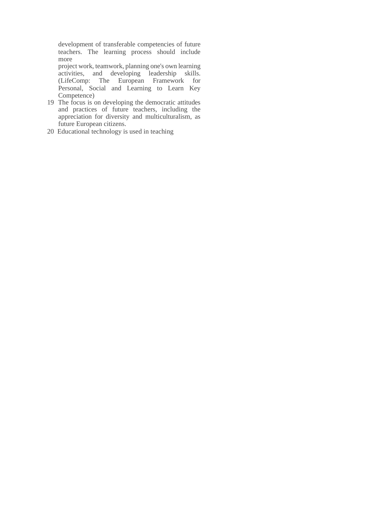development of transferable competencies of future teachers. The learning process should include more

project work, teamwork, planning one's own learning activities, and developing leadership skills. (LifeComp: The European Framework for Personal, Social and Learning to Learn Key Competence)

- 19 The focus is on developing the democratic attitudes and practices of future teachers, including the appreciation for diversity and multiculturalism, as future European citizens.
- 20 Educational technology is used in teaching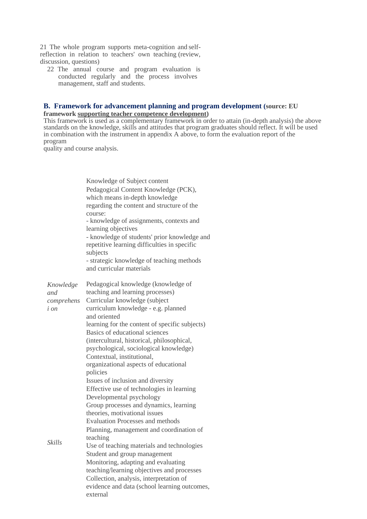21 The whole program supports meta-cognition and selfreflection in relation to teachers' own teaching (review, discussion, questions)

22 The annual course and program evaluation is conducted regularly and the process involves management, staff and students.

#### **B. Framework for advancement planning and program development (source: EU framework [supporting teacher competence development\)](https://ec.europa.eu/assets/eac/education/experts-groups/2011-2013/teacher/teachercomp_en.pdf)**

This framework is used as a complementary framework in order to attain (in-depth analysis) the above standards on the knowledge, skills and attitudes that program graduates should reflect. It will be used in combination with the instrument in appendix A above, to form the evaluation report of the program

quality and course analysis.

Knowledge of Subject content Pedagogical Content Knowledge (PCK), which means in-depth knowledge regarding the content and structure of the course: - knowledge of assignments, contexts and learning objectives - knowledge of students' prior knowledge and repetitive learning difficulties in specific subjects - strategic knowledge of teaching methods and curricular materials *Knowledge and comprehens i on Skills* Pedagogical knowledge (knowledge of teaching and learning processes) Curricular knowledge (subject curriculum knowledge - e.g. planned and oriented learning for the content of specific subjects) Basics of educational sciences (intercultural, historical, philosophical, psychological, sociological knowledge) Contextual, institutional, organizational aspects of educational policies Issues of inclusion and diversity Effective use of technologies in learning Developmental psychology Group processes and dynamics, learning theories, motivational issues Evaluation Processes and methods Planning, management and coordination of teaching Use of teaching materials and technologies Student and group management Monitoring, adapting and evaluating teaching/learning objectives and processes Collection, analysis, interpretation of evidence and data (school learning outcomes, external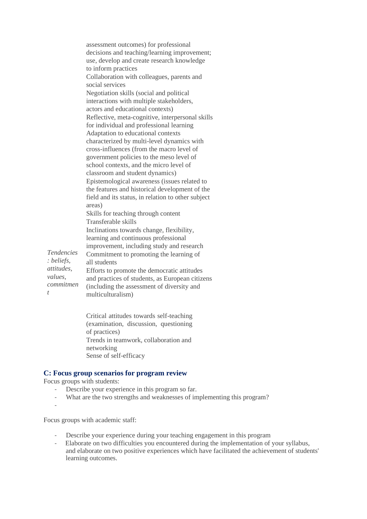|                   | assessment outcomes) for professional                        |
|-------------------|--------------------------------------------------------------|
|                   | decisions and teaching/learning improvement;                 |
|                   | use, develop and create research knowledge                   |
|                   | to inform practices                                          |
|                   | Collaboration with colleagues, parents and                   |
|                   | social services                                              |
|                   | Negotiation skills (social and political                     |
|                   | interactions with multiple stakeholders,                     |
|                   | actors and educational contexts)                             |
|                   | Reflective, meta-cognitive, interpersonal skills             |
|                   | for individual and professional learning                     |
|                   | Adaptation to educational contexts                           |
|                   | characterized by multi-level dynamics with                   |
|                   | cross-influences (from the macro level of                    |
|                   | government policies to the meso level of                     |
|                   | school contexts, and the micro level of                      |
|                   | classroom and student dynamics)                              |
|                   | Epistemological awareness (issues related to                 |
|                   | the features and historical development of the               |
|                   | field and its status, in relation to other subject<br>areas) |
|                   | Skills for teaching through content                          |
|                   | Transferable skills                                          |
|                   | Inclinations towards change, flexibility,                    |
|                   | learning and continuous professional                         |
|                   | improvement, including study and research                    |
| <i>Tendencies</i> | Commitment to promoting the learning of                      |
| : beliefs,        | all students                                                 |
| attitudes,        | Efforts to promote the democratic attitudes                  |
| values,           | and practices of students, as European citizens              |
| commitmen         | (including the assessment of diversity and                   |
| t                 | multiculturalism)                                            |
|                   |                                                              |

Critical attitudes towards self-teaching (examination, discussion, questioning of practices) Trends in teamwork, collaboration and networking Sense of self-efficacy

## **C: Focus group scenarios for program review**

Focus groups with students:

- Describe your experience in this program so far.<br>What are the two strengths and weaknesses of im
- What are the two strengths and weaknesses of implementing this program?
- -

Focus groups with academic staff:

- Describe your experience during your teaching engagement in this program
- Elaborate on two difficulties you encountered during the implementation of your syllabus, and elaborate on two positive experiences which have facilitated the achievement of students' learning outcomes.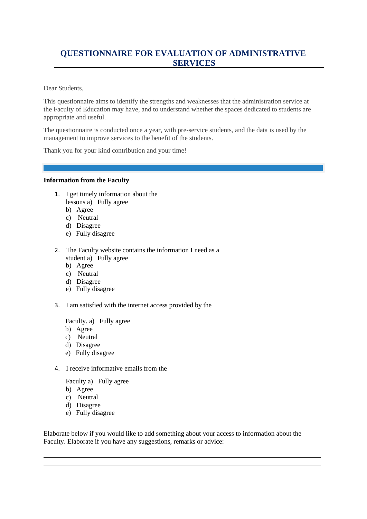# <span id="page-23-0"></span>**QUESTIONNAIRE FOR EVALUATION OF ADMINISTRATIVE SERVICES**

Dear Students,

This questionnaire aims to identify the strengths and weaknesses that the administration service at the Faculty of Education may have, and to understand whether the spaces dedicated to students are appropriate and useful.

The questionnaire is conducted once a year, with pre-service students, and the data is used by the management to improve services to the benefit of the students.

Thank you for your kind contribution and your time!

#### **Information from the Faculty**

- 1. I get timely information about the lessons a) Fully agree
	- b) Agree
	- c) Neutral
	- d) Disagree
	- e) Fully disagree
- 2. The Faculty website contains the information I need as a student a) Fully agree
	- b) Agree
	- c) Neutral
	- d) Disagree
	- e) Fully disagree
- 3. I am satisfied with the internet access provided by the

Faculty. a) Fully agree

- b) Agree
- c) Neutral
- d) Disagree
- e) Fully disagree
- 4. I receive informative emails from the

Faculty a) Fully agree

- b) Agree
- c) Neutral
- d) Disagree
- e) Fully disagree

Elaborate below if you would like to add something about your access to information about the Faculty. Elaborate if you have any suggestions, remarks or advice: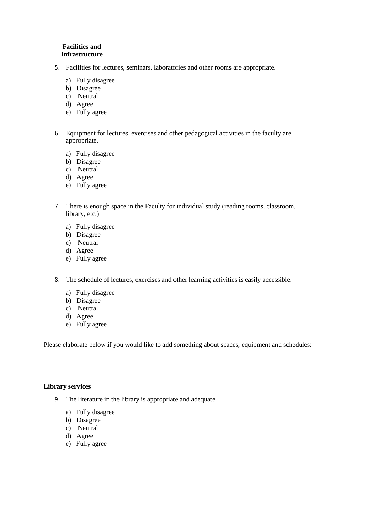#### **Facilities and Infrastructure**

- 5. Facilities for lectures, seminars, laboratories and other rooms are appropriate.
	- a) Fully disagree
	- b) Disagree
	- c) Neutral
	- d) Agree
	- e) Fully agree
- 6. Equipment for lectures, exercises and other pedagogical activities in the faculty are appropriate.
	- a) Fully disagree
	- b) Disagree
	- c) Neutral
	- d) Agree
	- e) Fully agree
- 7. There is enough space in the Faculty for individual study (reading rooms, classroom, library, etc.)
	- a) Fully disagree
	- b) Disagree
	- c) Neutral
	- d) Agree
	- e) Fully agree
- 8. The schedule of lectures, exercises and other learning activities is easily accessible:
	- a) Fully disagree
	- b) Disagree
	- c) Neutral
	- d) Agree
	- e) Fully agree

Please elaborate below if you would like to add something about spaces, equipment and schedules:

#### **Library services**

- 9. The literature in the library is appropriate and adequate.
	- a) Fully disagree
	- b) Disagree
	- c) Neutral
	- d) Agree
	- e) Fully agree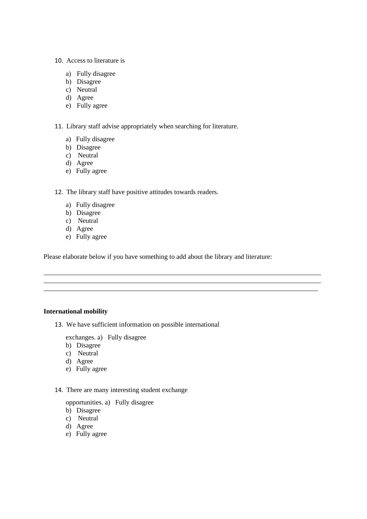#### 10. Access to literature is

- a) Fully disagree
- b) Disagree
- c) Neutral
- d) Agree
- e) Fully agree

11. Library staff advise appropriately when searching for literature.

- a) Fully disagree
- b) Disagree
- c) Neutral
- d) Agree
- e) Fully agree

#### 12. The library staff have positive attitudes towards readers.

- a) Fully disagree
- b) Disagree
- c) Neutral
- d) Agree
- e) Fully agree

Please elaborate below if you have something to add about the library and literature:

#### **International mobility**

13. We have sufficient information on possible international

exchanges. a) Fully disagree

- b) Disagree
- c) Neutral
- d) Agree
- e) Fully agree

#### 14. There are many interesting student exchange

opportunities. a) Fully disagree

- b) Disagree
- c) Neutral
- d) Agree
- e) Fully agree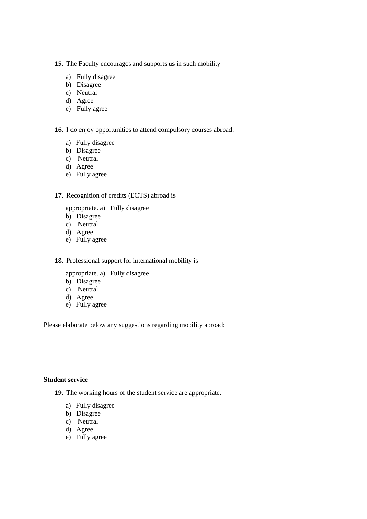- 15. The Faculty encourages and supports us in such mobility
- programs. a) Fully disagree
	- b) Disagree
	- c) Neutral
	- d) Agree
	- e) Fully agree

16. I do enjoy opportunities to attend compulsory courses abroad.

- a) Fully disagree
- b) Disagree
- c) Neutral
- d) Agree
- e) Fully agree

#### 17. Recognition of credits (ECTS) abroad is

appropriate. a) Fully disagree

- b) Disagree
- c) Neutral
- d) Agree
- e) Fully agree

18. Professional support for international mobility is

appropriate. a) Fully disagree

- b) Disagree
- c) Neutral
- d) Agree
- e) Fully agree

Please elaborate below any suggestions regarding mobility abroad:

#### **Student service**

- 19. The working hours of the student service are appropriate.
	- a) Fully disagree
	- b) Disagree
	- c) Neutral
	- d) Agree
	- e) Fully agree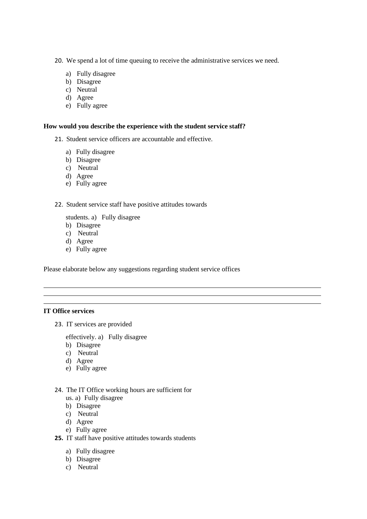20. We spend a lot of time queuing to receive the administrative services we need.

- a) Fully disagree
- b) Disagree
- c) Neutral
- d) Agree
- e) Fully agree

#### **How would you describe the experience with the student service staff?**

- 21. Student service officers are accountable and effective.
	- a) Fully disagree
	- b) Disagree
	- c) Neutral
	- d) Agree
	- e) Fully agree

#### 22. Student service staff have positive attitudes towards

students. a) Fully disagree

- b) Disagree
- c) Neutral
- d) Agree
- e) Fully agree

Please elaborate below any suggestions regarding student service offices

#### **IT Office services**

23. IT services are provided

effectively. a) Fully disagree

- b) Disagree
- c) Neutral
- d) Agree
- e) Fully agree
- 24. The IT Office working hours are sufficient for
	- us. a) Fully disagree
	- b) Disagree
	- c) Neutral
	- d) Agree
	- e) Fully agree
- **25.** IT staff have positive attitudes towards students
	- a) Fully disagree
	- b) Disagree
	- c) Neutral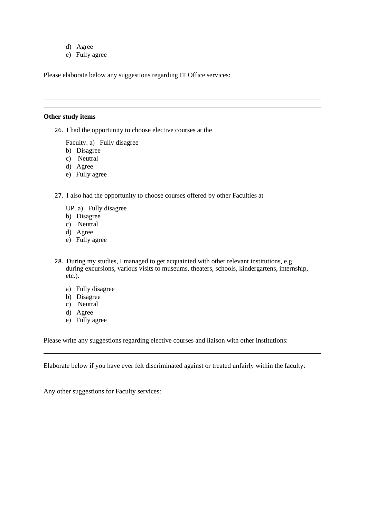- d) Agree
- e) Fully agree

Please elaborate below any suggestions regarding IT Office services:

#### **Other study items**

26. I had the opportunity to choose elective courses at the

Faculty. a) Fully disagree

- b) Disagree
- c) Neutral
- d) Agree
- e) Fully agree
- 27. I also had the opportunity to choose courses offered by other Faculties at
	- UP. a) Fully disagree
	- b) Disagree
	- c) Neutral
	- d) Agree
	- e) Fully agree
- 28. During my studies, I managed to get acquainted with other relevant institutions, e.g. during excursions, various visits to museums, theaters, schools, kindergartens, internship, etc.).
	- a) Fully disagree
	- b) Disagree
	- c) Neutral
	- d) Agree
	- e) Fully agree

Please write any suggestions regarding elective courses and liaison with other institutions:

Elaborate below if you have ever felt discriminated against or treated unfairly within the faculty:

Any other suggestions for Faculty services: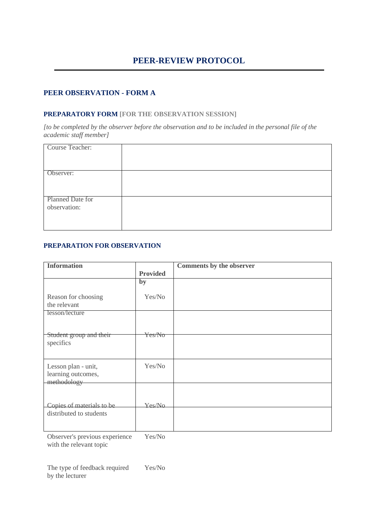## <span id="page-29-0"></span>**PEER OBSERVATION - FORM A**

#### **PREPARATORY FORM [FOR THE OBSERVATION SESSION]**

*[to be completed by the observer before the observation and to be included in the personal file of the academic staff member]*

| Course Teacher:  |  |
|------------------|--|
|                  |  |
|                  |  |
|                  |  |
|                  |  |
|                  |  |
|                  |  |
| Observer:        |  |
|                  |  |
|                  |  |
|                  |  |
|                  |  |
|                  |  |
|                  |  |
|                  |  |
| Planned Date for |  |
|                  |  |
| observation:     |  |
|                  |  |
|                  |  |
|                  |  |
|                  |  |
|                  |  |
|                  |  |

### **PREPARATION FOR OBSERVATION**

| <b>Provided</b>   |
|-------------------|
|                   |
| Yes/No            |
|                   |
| <del>Yes/No</del> |
|                   |
|                   |
| Yes/No            |
|                   |
| Yes/No            |
|                   |
|                   |
|                   |

Observer's previous experience with the relevant topic Yes/No

The type of feedback required by the lecturer Yes/No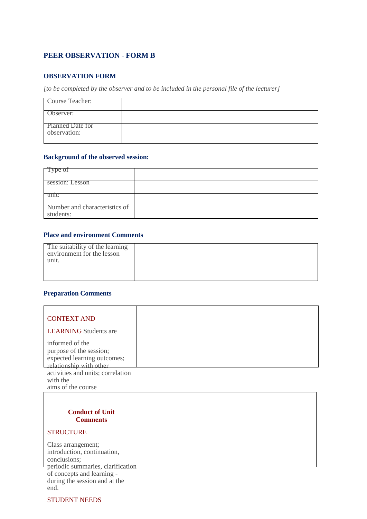## **PEER OBSERVATION - FORM B**

#### **OBSERVATION FORM**

*[to be completed by the observer and to be included in the personal file of the lecturer]*

| Course Teacher:                         |  |
|-----------------------------------------|--|
| Observer:                               |  |
| <b>Planned Date for</b><br>observation: |  |

## **Background of the observed session:**

| Type of                                    |  |
|--------------------------------------------|--|
| session: Lesson                            |  |
| unit:                                      |  |
| Number and characteristics of<br>students: |  |

#### **Place and environment Comments**

| The suitability of the learning<br>environment for the lesson<br>unit. |  |
|------------------------------------------------------------------------|--|
|                                                                        |  |

#### **Preparation Comments**

| <b>CONTEXT AND</b><br><b>LEARNING</b> Students are                                                   |  |
|------------------------------------------------------------------------------------------------------|--|
| informed of the<br>purpose of the session;<br>expected learning outcomes;<br>relationship with other |  |
| activities and units; correlation<br>with the<br>aims of the course                                  |  |
| <b>Conduct of Unit</b><br><b>Comments</b><br><b>STRUCTURE</b>                                        |  |

| Class arrangement;                |  |
|-----------------------------------|--|
| introduction, continuation,       |  |
| conclusions;                      |  |
| periodic summaries, clarification |  |
| of concepts and learning -        |  |
| during the session and at the     |  |
|                                   |  |

STUDENT NEEDS

end.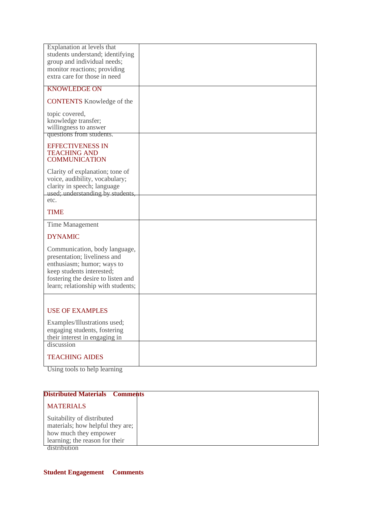| Explanation at levels that                                               |  |
|--------------------------------------------------------------------------|--|
| students understand; identifying<br>group and individual needs;          |  |
| monitor reactions; providing<br>extra care for those in need             |  |
| <b>KNOWLEDGE ON</b>                                                      |  |
|                                                                          |  |
| <b>CONTENTS</b> Knowledge of the                                         |  |
| topic covered,                                                           |  |
| knowledge transfer;<br>willingness to answer                             |  |
| questions from students.                                                 |  |
| <b>EFFECTIVENESS IN</b><br><b>TEACHING AND</b>                           |  |
| <b>COMMUNICATION</b>                                                     |  |
| Clarity of explanation; tone of                                          |  |
| voice, audibility, vocabulary;                                           |  |
| clarity in speech; language<br>used; understanding by students,          |  |
| etc.                                                                     |  |
| <b>TIME</b>                                                              |  |
| Time Management                                                          |  |
| <b>DYNAMIC</b>                                                           |  |
| Communication, body language,                                            |  |
| presentation; liveliness and<br>enthusiasm; humor; ways to               |  |
| keep students interested;                                                |  |
| fostering the desire to listen and<br>learn; relationship with students; |  |
|                                                                          |  |
|                                                                          |  |
| <b>USE OF EXAMPLES</b>                                                   |  |
| Examples/Illustrations used;                                             |  |
| engaging students, fostering<br>their interest in engaging in            |  |
|                                                                          |  |
| discussion                                                               |  |
| <b>TEACHING AIDES</b>                                                    |  |

Using tools to help learning

| <b>Distributed Materials Comments</b>                                                                                     |  |
|---------------------------------------------------------------------------------------------------------------------------|--|
| <b>MATERIALS</b>                                                                                                          |  |
| Suitability of distributed<br>materials; how helpful they are;<br>how much they empower<br>learning; the reason for their |  |

distribution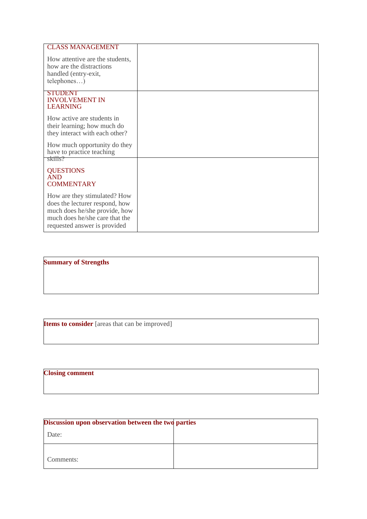| <b>CLASS MANAGEMENT</b><br>How attentive are the students,<br>how are the distractions<br>handled (entry-exit,<br>telephones)                                     |  |
|-------------------------------------------------------------------------------------------------------------------------------------------------------------------|--|
| <b>STUDENT</b><br><b>INVOLVEMENT IN</b><br><b>LEARNING</b>                                                                                                        |  |
| How active are students in<br>their learning; how much do<br>they interact with each other?                                                                       |  |
| How much opportunity do they<br>have to practice teaching                                                                                                         |  |
| skills?<br><b>QUESTIONS</b><br><b>AND</b><br><b>COMMENTARY</b>                                                                                                    |  |
| How are they stimulated? How<br>does the lecturer respond, how<br>much does he/she provide, how<br>much does he/she care that the<br>requested answer is provided |  |

**Summary of Strengths**

**Items to consider** [areas that can be improved]

# **Closing comment**

| Discussion upon observation between the two parties |  |
|-----------------------------------------------------|--|
| Date:                                               |  |
| Comments:                                           |  |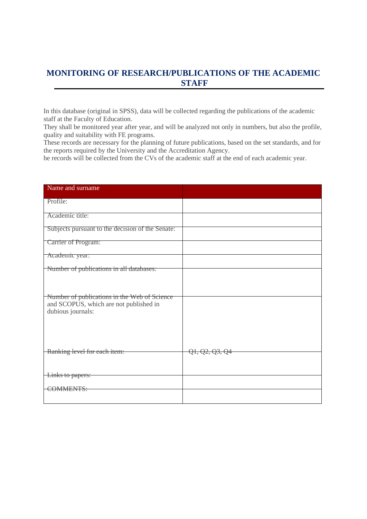# <span id="page-34-0"></span>**MONITORING OF RESEARCH/PUBLICATIONS OF THE ACADEMIC STAFF**

In this database (original in SPSS), data will be collected regarding the publications of the academic staff at the Faculty of Education.

They shall be monitored year after year, and will be analyzed not only in numbers, but also the profile, quality and suitability with FE programs.

These records are necessary for the planning of future publications, based on the set standards, and for the reports required by the University and the Accreditation Agency.

he records will be collected from the CVs of the academic staff at the end of each academic year.

| Name and surname                                                                                            |                |
|-------------------------------------------------------------------------------------------------------------|----------------|
| Profile:                                                                                                    |                |
| Academic title:                                                                                             |                |
| Subjects pursuant to the decision of the Senate:                                                            |                |
| Carrier of Program:                                                                                         |                |
| Academic year:                                                                                              |                |
| Number of publications in all databases:                                                                    |                |
| Number of publications in the Web of Science<br>and SCOPUS, which are not published in<br>dubious journals: |                |
| Ranking level for each item:                                                                                | Q1, Q2, Q3, Q4 |
| Links to papers:                                                                                            |                |
| COMMENTS:                                                                                                   |                |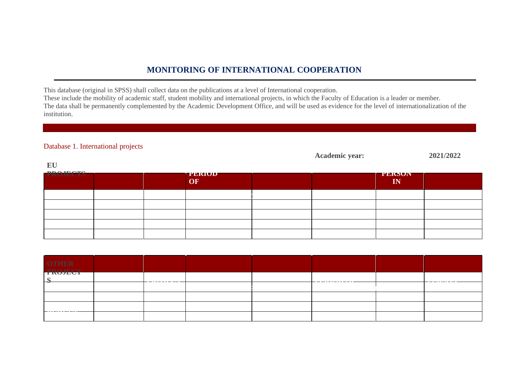## **MONITORING OF INTERNATIONAL COOPERATION**

This database (original in SPSS) shall collect data on the publications at a level of International cooperation.

These include the mobility of academic staff, student mobility and international projects, in which the Faculty of Education is a leader or member. The data shall be permanently complemented by the Academic Development Office, and will be used as evidence for the level of internationalization of the institution.

## Database 1. International projects

|                 |  |                     | <b>Academic year:</b> |                     | 2021/2022 |
|-----------------|--|---------------------|-----------------------|---------------------|-----------|
| EU              |  |                     |                       |                     |           |
| <b>PROJECTS</b> |  | <b>TEKIUD</b><br>OF |                       | <b>TERNUN</b><br>IN |           |
|                 |  |                     |                       |                     |           |
|                 |  |                     |                       |                     |           |
|                 |  |                     |                       |                     |           |
|                 |  |                     |                       |                     |           |
|                 |  |                     |                       |                     |           |

<span id="page-35-0"></span>

| OTHER<br>PROJECT |  |  |  |  |
|------------------|--|--|--|--|
|                  |  |  |  |  |
| ⊣ᢣ               |  |  |  |  |
|                  |  |  |  |  |
|                  |  |  |  |  |
|                  |  |  |  |  |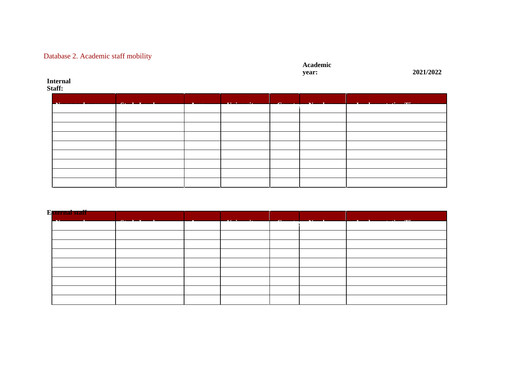# Database 2. Academic staff mobility

# **Academic**

**year: 2021/2022**

#### **Internal Staff:**

| $\mathbf{M}$ and $\mathbf{M}$ and $\mathbf{M}$ | $Q_1 = 1$ $\overline{q}$ $\overline{q}$ $\overline{q}$ $\overline{q}$ $\overline{q}$ $\overline{q}$ $\overline{q}$ $\overline{q}$ $\overline{q}$ $\overline{q}$ $\overline{q}$ $\overline{q}$ $\overline{q}$ $\overline{q}$ $\overline{q}$ $\overline{q}$ $\overline{q}$ $\overline{q}$ $\overline{q}$ $\overline{q}$ $\overline{q}$ $\overline{q}$ $\overline{q}$ $\overline{$ | the contract of the contract of the | <b>The Commission Commission Commission</b> |  |  |
|------------------------------------------------|---------------------------------------------------------------------------------------------------------------------------------------------------------------------------------------------------------------------------------------------------------------------------------------------------------------------------------------------------------------------------------|-------------------------------------|---------------------------------------------|--|--|
|                                                |                                                                                                                                                                                                                                                                                                                                                                                 |                                     |                                             |  |  |
|                                                |                                                                                                                                                                                                                                                                                                                                                                                 |                                     |                                             |  |  |
|                                                |                                                                                                                                                                                                                                                                                                                                                                                 |                                     |                                             |  |  |
|                                                |                                                                                                                                                                                                                                                                                                                                                                                 |                                     |                                             |  |  |
|                                                |                                                                                                                                                                                                                                                                                                                                                                                 |                                     |                                             |  |  |
|                                                |                                                                                                                                                                                                                                                                                                                                                                                 |                                     |                                             |  |  |
|                                                |                                                                                                                                                                                                                                                                                                                                                                                 |                                     |                                             |  |  |
|                                                |                                                                                                                                                                                                                                                                                                                                                                                 |                                     |                                             |  |  |
|                                                |                                                                                                                                                                                                                                                                                                                                                                                 |                                     |                                             |  |  |

| E <mark>xternal staff</mark> <b>External</b><br><u>and the second property of the second property</u> | <u> Alban a gant a shekara</u> | $\mathbf{r}$ $\mathbf{r}$ $\mathbf{r}$ $\mathbf{r}$ $\mathbf{r}$ $\mathbf{r}$ $\mathbf{r}$ $\mathbf{r}$ $\mathbf{r}$ $\mathbf{r}$ $\mathbf{r}$ $\mathbf{r}$ $\mathbf{r}$ $\mathbf{r}$ $\mathbf{r}$ $\mathbf{r}$ $\mathbf{r}$ $\mathbf{r}$ $\mathbf{r}$ $\mathbf{r}$ $\mathbf{r}$ $\mathbf{r}$ $\mathbf{r}$ $\mathbf{r}$ $\mathbf{$ | $\sim$ $\sim$ $\sim$ | <b>The Contract Contract of the Contract Oriental</b> | <u> The Communication of the Communication of the Communication of the Communication of the Communication of the Communication of the Communication of the Communication of the Communication of the Communication of the Commun</u> |
|-------------------------------------------------------------------------------------------------------|--------------------------------|------------------------------------------------------------------------------------------------------------------------------------------------------------------------------------------------------------------------------------------------------------------------------------------------------------------------------------|----------------------|-------------------------------------------------------|--------------------------------------------------------------------------------------------------------------------------------------------------------------------------------------------------------------------------------------|
|                                                                                                       |                                |                                                                                                                                                                                                                                                                                                                                    |                      |                                                       |                                                                                                                                                                                                                                      |
|                                                                                                       |                                |                                                                                                                                                                                                                                                                                                                                    |                      |                                                       |                                                                                                                                                                                                                                      |
|                                                                                                       |                                |                                                                                                                                                                                                                                                                                                                                    |                      |                                                       |                                                                                                                                                                                                                                      |
|                                                                                                       |                                |                                                                                                                                                                                                                                                                                                                                    |                      |                                                       |                                                                                                                                                                                                                                      |
|                                                                                                       |                                |                                                                                                                                                                                                                                                                                                                                    |                      |                                                       |                                                                                                                                                                                                                                      |
|                                                                                                       |                                |                                                                                                                                                                                                                                                                                                                                    |                      |                                                       |                                                                                                                                                                                                                                      |
|                                                                                                       |                                |                                                                                                                                                                                                                                                                                                                                    |                      |                                                       |                                                                                                                                                                                                                                      |
|                                                                                                       |                                |                                                                                                                                                                                                                                                                                                                                    |                      |                                                       |                                                                                                                                                                                                                                      |
|                                                                                                       |                                |                                                                                                                                                                                                                                                                                                                                    |                      |                                                       |                                                                                                                                                                                                                                      |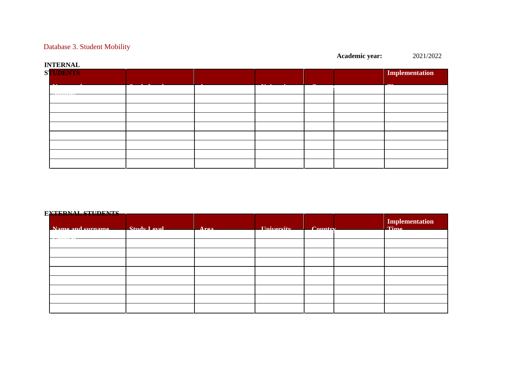## Database 3. Student Mobility

# **INTERNAL STUDENTS Implementation Name and surname Study Level Area University Country Number Time**

### **EXTERNAL STUDENTS**

| TE LERIVED D'E CD'EITLO<br>Name and curname Study Level | $\Lambda$ roq | Iniversity Country |  | Implementation |
|---------------------------------------------------------|---------------|--------------------|--|----------------|
|                                                         |               |                    |  |                |
|                                                         |               |                    |  |                |
|                                                         |               |                    |  |                |
|                                                         |               |                    |  |                |
|                                                         |               |                    |  |                |
|                                                         |               |                    |  |                |
|                                                         |               |                    |  |                |
|                                                         |               |                    |  |                |
|                                                         |               |                    |  |                |

**Academic year:** 2021/2022